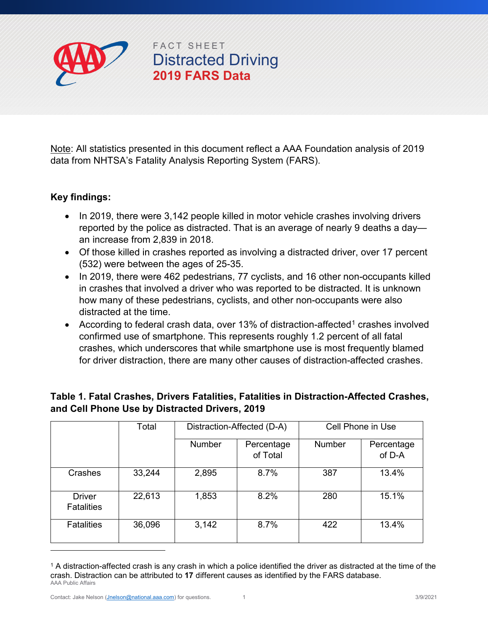

## FACT SHEET Distracted Driving **2019 FARS Data**

Note: All statistics presented in this document reflect a AAA Foundation analysis of 2019 data from NHTSA's Fatality Analysis Reporting System (FARS).

## **Key findings:**

- In 2019, there were 3,142 people killed in motor vehicle crashes involving drivers reported by the police as distracted. That is an average of nearly 9 deaths a day an increase from 2,839 in 2018.
- Of those killed in crashes reported as involving a distracted driver, over 17 percent (532) were between the ages of 25-35.
- In 2019, there were 462 pedestrians, 77 cyclists, and 16 other non-occupants killed in crashes that involved a driver who was reported to be distracted. It is unknown how many of these pedestrians, cyclists, and other non-occupants were also distracted at the time.
- According to federal crash data, over 13% of distraction-affected<sup>1</sup> crashes involved confirmed use of smartphone. This represents roughly 1.2 percent of all fatal crashes, which underscores that while smartphone use is most frequently blamed for driver distraction, there are many other causes of distraction-affected crashes.

|                                    | Total  | Distraction-Affected (D-A) |                        | Cell Phone in Use |                      |
|------------------------------------|--------|----------------------------|------------------------|-------------------|----------------------|
|                                    |        | Number                     | Percentage<br>of Total | <b>Number</b>     | Percentage<br>of D-A |
| Crashes                            | 33,244 | 2,895                      | 8.7%                   | 387               | 13.4%                |
| <b>Driver</b><br><b>Fatalities</b> | 22,613 | 1,853                      | 8.2%                   | 280               | 15.1%                |
| <b>Fatalities</b>                  | 36,096 | 3,142                      | 8.7%                   | 422               | 13.4%                |

## **Table 1. Fatal Crashes, Drivers Fatalities, Fatalities in Distraction-Affected Crashes, and Cell Phone Use by Distracted Drivers, 2019**

-

<span id="page-0-0"></span>AAA Public Affairs  $1$  A distraction-affected crash is any crash in which a police identified the driver as distracted at the time of the crash. Distraction can be attributed to **17** different causes as identified by the FARS database.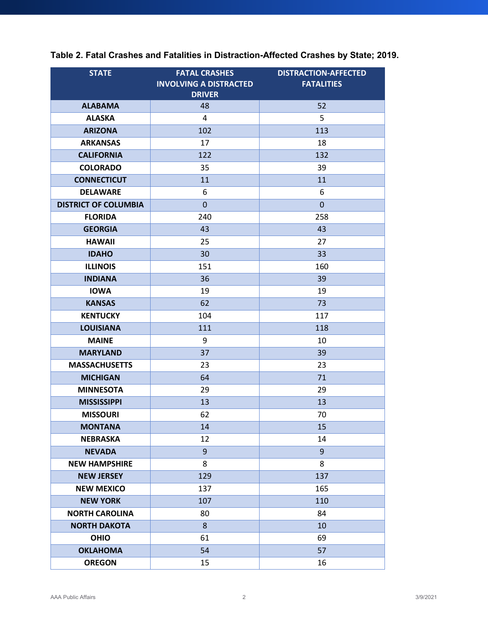| <b>STATE</b>                | <b>FATAL CRASHES</b><br><b>INVOLVING A DISTRACTED</b><br><b>DRIVER</b> | <b>DISTRACTION-AFFECTED</b><br><b>FATALITIES</b> |
|-----------------------------|------------------------------------------------------------------------|--------------------------------------------------|
| <b>ALABAMA</b>              | 48                                                                     | 52                                               |
| <b>ALASKA</b>               | 4                                                                      | 5                                                |
| <b>ARIZONA</b>              | 102                                                                    | 113                                              |
| <b>ARKANSAS</b>             | 17                                                                     | 18                                               |
| <b>CALIFORNIA</b>           | 122                                                                    | 132                                              |
| <b>COLORADO</b>             | 35                                                                     | 39                                               |
| <b>CONNECTICUT</b>          | 11                                                                     | 11                                               |
| <b>DELAWARE</b>             | 6                                                                      | 6                                                |
| <b>DISTRICT OF COLUMBIA</b> | $\Omega$                                                               | $\overline{0}$                                   |
| <b>FLORIDA</b>              | 240                                                                    | 258                                              |
| <b>GEORGIA</b>              | 43                                                                     | 43                                               |
| <b>HAWAII</b>               | 25                                                                     | 27                                               |
| <b>IDAHO</b>                | 30                                                                     | 33                                               |
| <b>ILLINOIS</b>             | 151                                                                    | 160                                              |
| <b>INDIANA</b>              | 36                                                                     | 39                                               |
| <b>IOWA</b>                 | 19                                                                     | 19                                               |
| <b>KANSAS</b>               | 62                                                                     | 73                                               |
| <b>KENTUCKY</b>             | 104                                                                    | 117                                              |
| <b>LOUISIANA</b>            | 111                                                                    | 118                                              |
| <b>MAINE</b>                | 9                                                                      | 10                                               |
| <b>MARYLAND</b>             | 37                                                                     | 39                                               |
| <b>MASSACHUSETTS</b>        | 23                                                                     | 23                                               |
| <b>MICHIGAN</b>             | 64                                                                     | 71                                               |
| <b>MINNESOTA</b>            | 29                                                                     | 29                                               |
| <b>MISSISSIPPI</b>          | 13                                                                     | 13                                               |
| <b>MISSOURI</b>             | 62                                                                     | 70                                               |
| <b>MONTANA</b>              | 14                                                                     | 15                                               |
| <b>NEBRASKA</b>             | 12                                                                     | 14                                               |
| <b>NEVADA</b>               | $9$                                                                    | 9                                                |
| <b>NEW HAMPSHIRE</b>        | 8                                                                      | 8                                                |
| <b>NEW JERSEY</b>           | 129                                                                    | 137                                              |
| <b>NEW MEXICO</b>           | 137                                                                    | 165                                              |
| <b>NEW YORK</b>             | 107                                                                    | 110                                              |
| <b>NORTH CAROLINA</b>       | 80                                                                     | 84                                               |
| <b>NORTH DAKOTA</b>         | 8                                                                      | 10                                               |
| <b>OHIO</b>                 | 61                                                                     | 69                                               |
| <b>OKLAHOMA</b>             | 54                                                                     | 57                                               |
| <b>OREGON</b>               | 15                                                                     | 16                                               |

**Table 2. Fatal Crashes and Fatalities in Distraction-Affected Crashes by State; 2019.**